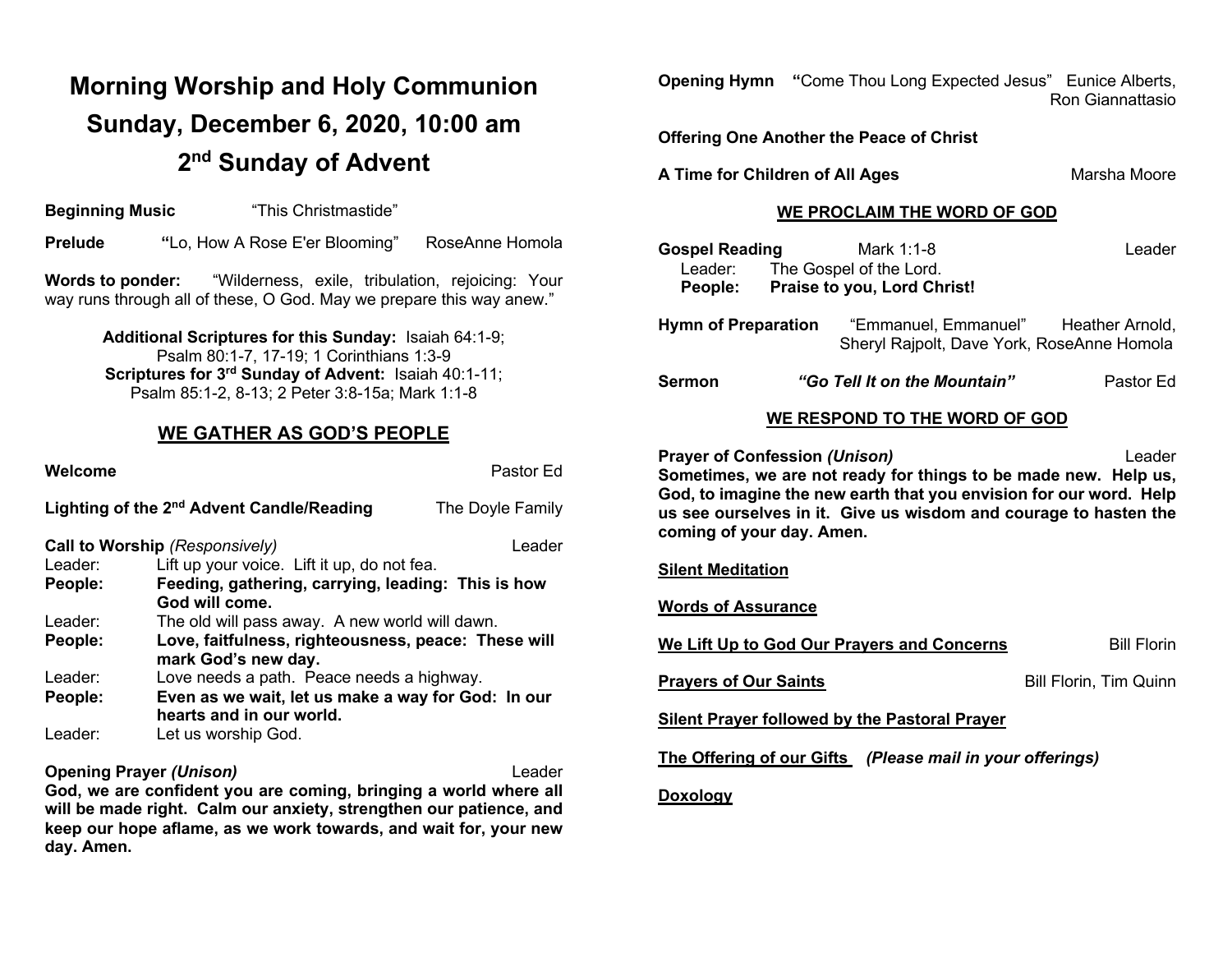# **Morning Worship and Holy Communion Sunday, December 6, 2020, 10:00 am 2nd Sunday of Advent**

**Beginning Music** "This Christmastide"

**Prelude "**Lo, How A Rose E'er Blooming" RoseAnne Homola

**Words to ponder:** "Wilderness, exile, tribulation, rejoicing: Your way runs through all of these, O God. May we prepare this way anew."

> **Additional Scriptures for this Sunday:** Isaiah 64:1-9; Psalm 80:1-7, 17-19; 1 Corinthians 1:3-9 **Scriptures for 3rd Sunday of Advent:** Isaiah 40:1-11; Psalm 85:1-2, 8-13; 2 Peter 3:8-15a; Mark 1:1-8

#### **WE GATHER AS GOD'S PEOPLE**

| Welcome |                                                                                | Pastor Ed        |  |
|---------|--------------------------------------------------------------------------------|------------------|--|
|         | Lighting of the 2 <sup>nd</sup> Advent Candle/Reading                          | The Doyle Family |  |
|         | Call to Worship (Responsively)                                                 | Leader           |  |
| Leader: | Lift up your voice. Lift it up, do not fea.                                    |                  |  |
| People: | Feeding, gathering, carrying, leading: This is how                             |                  |  |
|         | God will come.                                                                 |                  |  |
| Leader: | The old will pass away. A new world will dawn.                                 |                  |  |
| People: | Love, faitfulness, righteousness, peace: These will<br>mark God's new day.     |                  |  |
| Leader: | Love needs a path. Peace needs a highway.                                      |                  |  |
| People: | Even as we wait, let us make a way for God: In our<br>hearts and in our world. |                  |  |
| Leader: | Let us worship God.                                                            |                  |  |

**Opening Prayer** *(Unison)* Leader **God, we are confident you are coming, bringing a world where all will be made right. Calm our anxiety, strengthen our patience, and keep our hope aflame, as we work towards, and wait for, your new day. Amen.**

| <b>Opening Hymn</b> | "Come Thou Long Expected Jesus" Eunice Alberts, |                         |
|---------------------|-------------------------------------------------|-------------------------|
|                     |                                                 | <b>Ron Giannattasio</b> |

**Offering One Another the Peace of Christ**

**A Time for Children of All Ages** Marsha Moore

#### **WE PROCLAIM THE WORD OF GOD**

| <b>Gospel Reading</b>      |                             | Mark 1:1-8                                                                         | Leader    |
|----------------------------|-----------------------------|------------------------------------------------------------------------------------|-----------|
| Leader:                    |                             | The Gospel of the Lord.                                                            |           |
| <b>People:</b>             | Praise to you, Lord Christ! |                                                                                    |           |
| <b>Hymn of Preparation</b> |                             | "Emmanuel, Emmanuel" Heather Arnold,<br>Sheryl Rajpolt, Dave York, RoseAnne Homola |           |
| <b>Sermon</b>              |                             | "Go Tell It on the Mountain"                                                       | Pastor Ed |

#### **WE RESPOND TO THE WORD OF GOD**

**Prayer of Confession (Unison)** Leader **Sometimes, we are not ready for things to be made new. Help us, God, to imagine the new earth that you envision for our word. Help us see ourselves in it. Give us wisdom and courage to hasten the coming of your day. Amen.**

#### **Silent Meditation**

**Words of Assurance**

**We Lift Up to God Our Prayers and Concerns** Bill Florin

**Prayers of Our Saints** Bill Florin, Tim Quinn

**Silent Prayer followed by the Pastoral Prayer**

**The Offering of our Gifts** *(Please mail in your offerings)*

#### **Doxology**